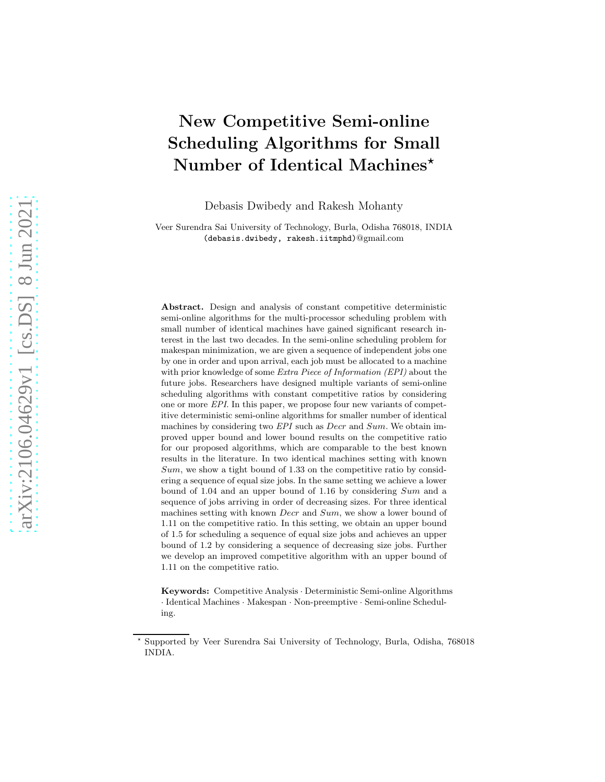# New Competitive Semi-online Scheduling Algorithms for Small Number of Identical Machines\*

Debasis Dwibedy and Rakesh Mohanty

Veer Surendra Sai University of Technology, Burla, Odisha 768018, INDIA (debasis.dwibedy, rakesh.iitmphd)@gmail.com

Abstract. Design and analysis of constant competitive deterministic semi-online algorithms for the multi-processor scheduling problem with small number of identical machines have gained significant research interest in the last two decades. In the semi-online scheduling problem for makespan minimization, we are given a sequence of independent jobs one by one in order and upon arrival, each job must be allocated to a machine with prior knowledge of some *Extra Piece of Information (EPI)* about the future jobs. Researchers have designed multiple variants of semi-online scheduling algorithms with constant competitive ratios by considering one or more EPI. In this paper, we propose four new variants of competitive deterministic semi-online algorithms for smaller number of identical machines by considering two *EPI* such as *Decr* and *Sum*. We obtain improved upper bound and lower bound results on the competitive ratio for our proposed algorithms, which are comparable to the best known results in the literature. In two identical machines setting with known  $Sum$ , we show a tight bound of 1.33 on the competitive ratio by considering a sequence of equal size jobs. In the same setting we achieve a lower bound of 1.04 and an upper bound of 1.16 by considering Sum and a sequence of jobs arriving in order of decreasing sizes. For three identical machines setting with known *Decr* and *Sum*, we show a lower bound of 1.11 on the competitive ratio. In this setting, we obtain an upper bound of 1.5 for scheduling a sequence of equal size jobs and achieves an upper bound of 1.2 by considering a sequence of decreasing size jobs. Further we develop an improved competitive algorithm with an upper bound of 1.11 on the competitive ratio.

Keywords: Competitive Analysis · Deterministic Semi-online Algorithms · Identical Machines · Makespan · Non-preemptive · Semi-online Scheduling.

Supported by Veer Surendra Sai University of Technology, Burla, Odisha, 768018 INDIA.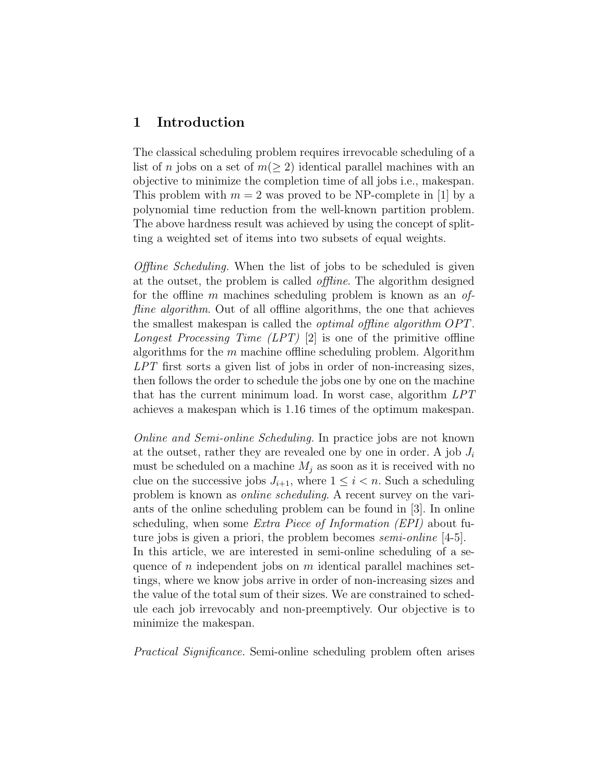## 1 Introduction

The classical scheduling problem requires irrevocable scheduling of a list of n jobs on a set of  $m(\geq 2)$  identical parallel machines with an objective to minimize the completion time of all jobs i.e., makespan. This problem with  $m = 2$  was proved to be NP-complete in [1] by a polynomial time reduction from the well-known partition problem. The above hardness result was achieved by using the concept of splitting a weighted set of items into two subsets of equal weights.

Offline Scheduling. When the list of jobs to be scheduled is given at the outset, the problem is called offline. The algorithm designed for the offline m machines scheduling problem is known as an offline algorithm. Out of all offline algorithms, the one that achieves the smallest makespan is called the *optimal offline algorithm OPT*. Longest Processing Time  $(LPT)$  [2] is one of the primitive offline algorithms for the  $m$  machine offline scheduling problem. Algorithm LPT first sorts a given list of jobs in order of non-increasing sizes, then follows the order to schedule the jobs one by one on the machine that has the current minimum load. In worst case, algorithm LPT achieves a makespan which is 1.16 times of the optimum makespan.

Online and Semi-online Scheduling. In practice jobs are not known at the outset, rather they are revealed one by one in order. A job  $J_i$ must be scheduled on a machine  $M_i$  as soon as it is received with no clue on the successive jobs  $J_{i+1}$ , where  $1 \leq i \leq n$ . Such a scheduling problem is known as online scheduling. A recent survey on the variants of the online scheduling problem can be found in [3]. In online scheduling, when some Extra Piece of Information (EPI) about future jobs is given a priori, the problem becomes *semi-online* [4-5]. In this article, we are interested in semi-online scheduling of a sequence of n independent jobs on  $m$  identical parallel machines settings, where we know jobs arrive in order of non-increasing sizes and the value of the total sum of their sizes. We are constrained to schedule each job irrevocably and non-preemptively. Our objective is to minimize the makespan.

Practical Significance. Semi-online scheduling problem often arises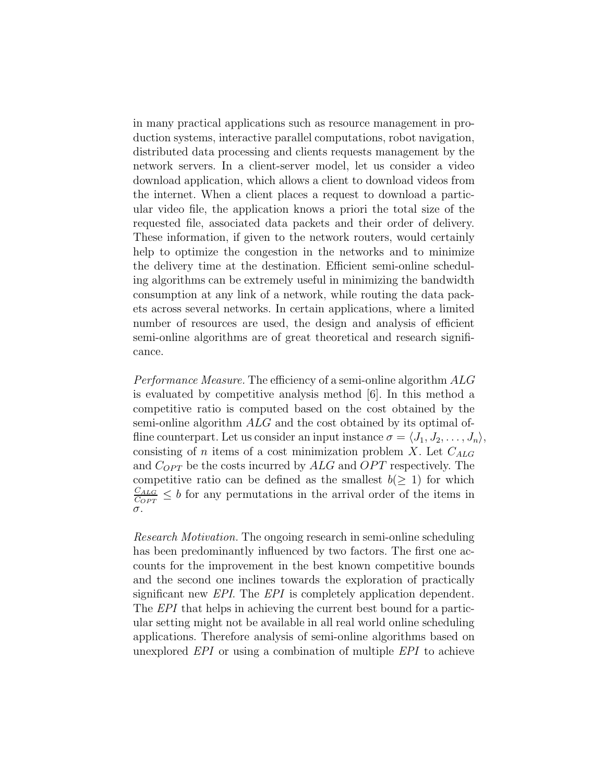in many practical applications such as resource management in production systems, interactive parallel computations, robot navigation, distributed data processing and clients requests management by the network servers. In a client-server model, let us consider a video download application, which allows a client to download videos from the internet. When a client places a request to download a particular video file, the application knows a priori the total size of the requested file, associated data packets and their order of delivery. These information, if given to the network routers, would certainly help to optimize the congestion in the networks and to minimize the delivery time at the destination. Efficient semi-online scheduling algorithms can be extremely useful in minimizing the bandwidth consumption at any link of a network, while routing the data packets across several networks. In certain applications, where a limited number of resources are used, the design and analysis of efficient semi-online algorithms are of great theoretical and research significance.

Performance Measure. The efficiency of a semi-online algorithm ALG is evaluated by competitive analysis method [6]. In this method a competitive ratio is computed based on the cost obtained by the semi-online algorithm ALG and the cost obtained by its optimal offline counterpart. Let us consider an input instance  $\sigma = \langle J_1, J_2, \ldots, J_n \rangle$ , consisting of n items of a cost minimization problem X. Let  $C_{ALG}$ and  $C_{OPT}$  be the costs incurred by  $ALG$  and  $OPT$  respectively. The competitive ratio can be defined as the smallest  $b(> 1)$  for which  $C_{ALG}$  $\frac{C_{ALG}}{C_{OPT}} \leq b$  for any permutations in the arrival order of the items in σ.

Research Motivation. The ongoing research in semi-online scheduling has been predominantly influenced by two factors. The first one accounts for the improvement in the best known competitive bounds and the second one inclines towards the exploration of practically significant new *EPI*. The *EPI* is completely application dependent. The *EPI* that helps in achieving the current best bound for a particular setting might not be available in all real world online scheduling applications. Therefore analysis of semi-online algorithms based on unexplored EPI or using a combination of multiple EPI to achieve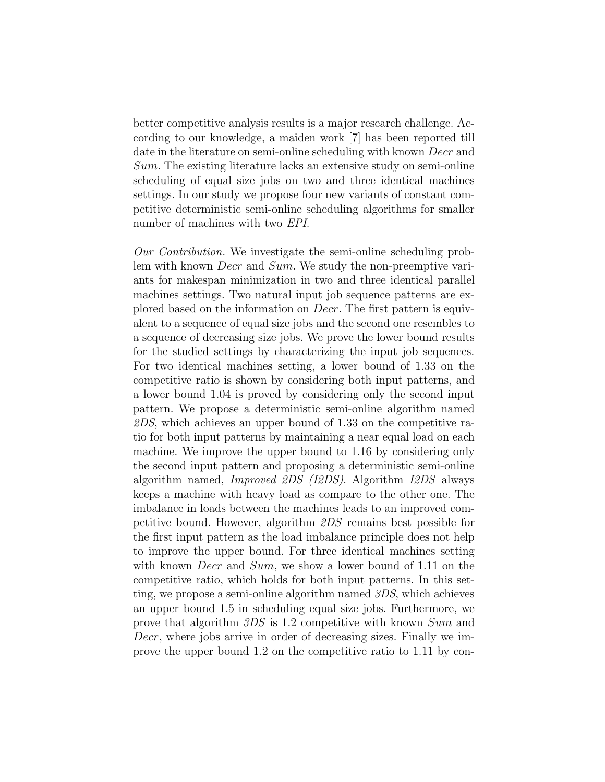better competitive analysis results is a major research challenge. According to our knowledge, a maiden work [7] has been reported till date in the literature on semi-online scheduling with known *Decr* and Sum. The existing literature lacks an extensive study on semi-online scheduling of equal size jobs on two and three identical machines settings. In our study we propose four new variants of constant competitive deterministic semi-online scheduling algorithms for smaller number of machines with two EPI.

Our Contribution. We investigate the semi-online scheduling problem with known *Decr* and *Sum*. We study the non-preemptive variants for makespan minimization in two and three identical parallel machines settings. Two natural input job sequence patterns are explored based on the information on Decr. The first pattern is equivalent to a sequence of equal size jobs and the second one resembles to a sequence of decreasing size jobs. We prove the lower bound results for the studied settings by characterizing the input job sequences. For two identical machines setting, a lower bound of 1.33 on the competitive ratio is shown by considering both input patterns, and a lower bound 1.04 is proved by considering only the second input pattern. We propose a deterministic semi-online algorithm named 2DS, which achieves an upper bound of 1.33 on the competitive ratio for both input patterns by maintaining a near equal load on each machine. We improve the upper bound to 1.16 by considering only the second input pattern and proposing a deterministic semi-online algorithm named, Improved 2DS (I2DS). Algorithm I2DS always keeps a machine with heavy load as compare to the other one. The imbalance in loads between the machines leads to an improved competitive bound. However, algorithm 2DS remains best possible for the first input pattern as the load imbalance principle does not help to improve the upper bound. For three identical machines setting with known *Decr* and *Sum*, we show a lower bound of 1.11 on the competitive ratio, which holds for both input patterns. In this setting, we propose a semi-online algorithm named 3DS, which achieves an upper bound 1.5 in scheduling equal size jobs. Furthermore, we prove that algorithm 3DS is 1.2 competitive with known Sum and Decr, where jobs arrive in order of decreasing sizes. Finally we improve the upper bound 1.2 on the competitive ratio to 1.11 by con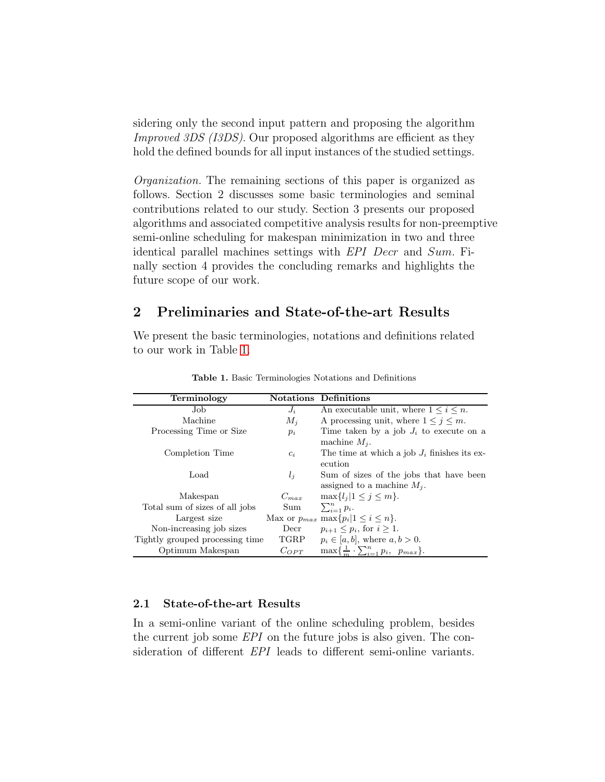sidering only the second input pattern and proposing the algorithm Improved 3DS (I3DS). Our proposed algorithms are efficient as they hold the defined bounds for all input instances of the studied settings.

Organization. The remaining sections of this paper is organized as follows. Section 2 discusses some basic terminologies and seminal contributions related to our study. Section 3 presents our proposed algorithms and associated competitive analysis results for non-preemptive semi-online scheduling for makespan minimization in two and three identical parallel machines settings with EPI Decr and Sum. Finally section 4 provides the concluding remarks and highlights the future scope of our work.

# 2 Preliminaries and State-of-the-art Results

We present the basic terminologies, notations and definitions related to our work in Table [1.](#page-4-0)

| Terminology                     |           | <b>Notations</b> Definitions                          |
|---------------------------------|-----------|-------------------------------------------------------|
| Job.                            | $J_i$     | An executable unit, where $1 \leq i \leq n$ .         |
| Machine                         | $M_i$     | A processing unit, where $1 \leq j \leq m$ .          |
| Processing Time or Size         | $p_i$     | Time taken by a job $J_i$ to execute on a             |
|                                 |           | machine $M_i$ .                                       |
| Completion Time                 | $c_i$     | The time at which a job $J_i$ finishes its ex-        |
|                                 |           | ecution                                               |
| Load                            | $l_i$     | Sum of sizes of the jobs that have been               |
|                                 |           | assigned to a machine $M_i$ .                         |
| Makespan                        | $C_{max}$ | $\max\{l_j   1 \leq j \leq m\}.$                      |
| Total sum of sizes of all jobs  | Sum.      | $\sum_{i=1}^n p_i.$                                   |
| Largest size                    |           | Max or $p_{max}$ max $\{p_i   1 \leq i \leq n\}.$     |
| Non-increasing job sizes        | Decr      | $p_{i+1} < p_i$ , for $i > 1$ .                       |
| Tightly grouped processing time | TGRP      | $p_i \in [a, b]$ , where $a, b > 0$ .                 |
| Optimum Makespan                | $C_{OPT}$ | $\max\{\frac{1}{m}\cdot\sum_{i=1}^{n}p_i, p_{max}\}.$ |

<span id="page-4-0"></span>Table 1. Basic Terminologies Notations and Definitions

#### 2.1 State-of-the-art Results

In a semi-online variant of the online scheduling problem, besides the current job some EPI on the future jobs is also given. The consideration of different EPI leads to different semi-online variants.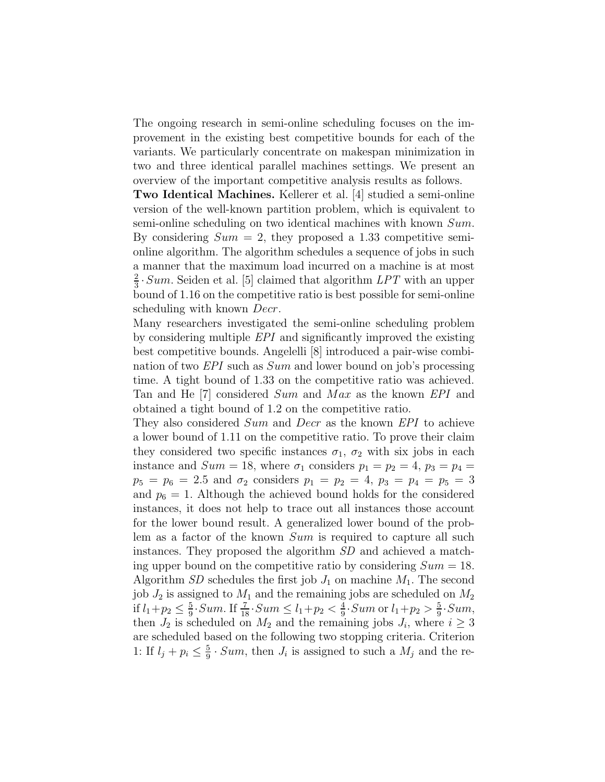The ongoing research in semi-online scheduling focuses on the improvement in the existing best competitive bounds for each of the variants. We particularly concentrate on makespan minimization in two and three identical parallel machines settings. We present an overview of the important competitive analysis results as follows.

Two Identical Machines. Kellerer et al. [4] studied a semi-online version of the well-known partition problem, which is equivalent to semi-online scheduling on two identical machines with known Sum. By considering  $Sum = 2$ , they proposed a 1.33 competitive semionline algorithm. The algorithm schedules a sequence of jobs in such a manner that the maximum load incurred on a machine is at most 2  $\frac{2}{3}$  Sum. Seiden et al. [5] claimed that algorithm  $LPT$  with an upper bound of 1.16 on the competitive ratio is best possible for semi-online scheduling with known Decr.

Many researchers investigated the semi-online scheduling problem by considering multiple EPI and significantly improved the existing best competitive bounds. Angelelli [8] introduced a pair-wise combination of two EPI such as Sum and lower bound on job's processing time. A tight bound of 1.33 on the competitive ratio was achieved. Tan and He [7] considered Sum and Max as the known EPI and obtained a tight bound of 1.2 on the competitive ratio.

They also considered Sum and Decr as the known EPI to achieve a lower bound of 1.11 on the competitive ratio. To prove their claim they considered two specific instances  $\sigma_1$ ,  $\sigma_2$  with six jobs in each instance and  $Sum = 18$ , where  $\sigma_1$  considers  $p_1 = p_2 = 4$ ,  $p_3 = p_4 =$  $p_5 = p_6 = 2.5$  and  $\sigma_2$  considers  $p_1 = p_2 = 4$ ,  $p_3 = p_4 = p_5 = 3$ and  $p_6 = 1$ . Although the achieved bound holds for the considered instances, it does not help to trace out all instances those account for the lower bound result. A generalized lower bound of the problem as a factor of the known Sum is required to capture all such instances. They proposed the algorithm SD and achieved a matching upper bound on the competitive ratio by considering  $Sum = 18$ . Algorithm SD schedules the first job  $J_1$  on machine  $M_1$ . The second job  $J_2$  is assigned to  $M_1$  and the remaining jobs are scheduled on  $M_2$ if  $l_1 + p_2 \leq \frac{5}{9}$  $\frac{5}{9}$ . *Sum.* If  $\frac{7}{18}$ . *Sum*  $\leq l_1 + p_2 < \frac{4}{9}$  $\frac{4}{9}$ ·*Sum* or  $l_1 + p_2 > \frac{5}{9}$  $\frac{5}{9}$ ·Sum, then  $J_2$  is scheduled on  $M_2$  and the remaining jobs  $J_i$ , where  $i \geq 3$ are scheduled based on the following two stopping criteria. Criterion 1: If  $l_j + p_i \leq \frac{5}{9}$  $\frac{5}{9} \cdot Sum$ , then  $J_i$  is assigned to such a  $M_j$  and the re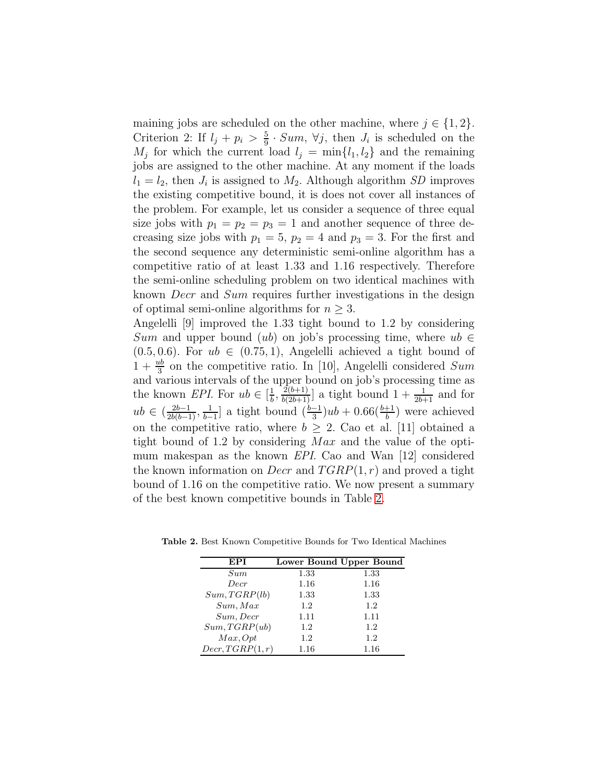maining jobs are scheduled on the other machine, where  $j \in \{1, 2\}$ . Criterion 2: If  $l_j + p_i > \frac{5}{9}$  $\frac{5}{9}$  · Sum,  $\forall j$ , then  $J_i$  is scheduled on the  $M_j$  for which the current load  $l_j = \min\{l_1, l_2\}$  and the remaining jobs are assigned to the other machine. At any moment if the loads  $l_1 = l_2$ , then  $J_i$  is assigned to  $M_2$ . Although algorithm SD improves the existing competitive bound, it is does not cover all instances of the problem. For example, let us consider a sequence of three equal size jobs with  $p_1 = p_2 = p_3 = 1$  and another sequence of three decreasing size jobs with  $p_1 = 5$ ,  $p_2 = 4$  and  $p_3 = 3$ . For the first and the second sequence any deterministic semi-online algorithm has a competitive ratio of at least 1.33 and 1.16 respectively. Therefore the semi-online scheduling problem on two identical machines with known Decr and Sum requires further investigations in the design of optimal semi-online algorithms for  $n \geq 3$ .

Angelelli [9] improved the 1.33 tight bound to 1.2 by considering Sum and upper bound (ub) on job's processing time, where  $ub \in$  $(0.5, 0.6)$ . For  $ub \in (0.75, 1)$ , Angelelli achieved a tight bound of  $1 + \frac{ub}{3}$  on the competitive ratio. In [10], Angelelli considered Sum  $\frac{3}{3}$  on the competitive ratio. In [10], ringerem considered b and and various intervals of the upper bound on job's processing time as the known *EPI*. For  $ub \in \left[\frac{1}{b}\right]$  $\frac{1}{b}$ ,  $\frac{2(b+1)}{b(2b+1)}$  a tight bound  $1 + \frac{1}{2b+1}$  and for  $ub \in (\frac{2b-1}{2b(b-1)}, \frac{1}{b-1})$  $\frac{1}{b-1}$  a tight bound  $\left(\frac{b-1}{3}\right)ub + 0.66\left(\frac{b+1}{b}\right)$  were achieved on the competitive ratio, where  $b \geq 2$ . Cao et al. [11] obtained a tight bound of 1.2 by considering Max and the value of the optimum makespan as the known EPI. Cao and Wan [12] considered the known information on *Decr* and  $TGRP(1, r)$  and proved a tight bound of 1.16 on the competitive ratio. We now present a summary of the best known competitive bounds in Table [2.](#page-6-0)

<span id="page-6-0"></span>

| EPI             |      | Lower Bound Upper Bound |
|-----------------|------|-------------------------|
| Sum             | 1.33 | 1.33                    |
| Decr            | 1.16 | 1.16                    |
| Sum, TGRP(lb)   | 1.33 | 1.33                    |
| Sum, Max        | 1.2  | 1.2                     |
| Sum, Decr       | 1.11 | 1.11                    |
| Sum, TGRP(ub)   | 1.2  | 1.2                     |
| Max. Opt        | 1.2  | 1.2                     |
| Decr, TGRP(1,r) | 1.16 | 1.16                    |

Table 2. Best Known Competitive Bounds for Two Identical Machines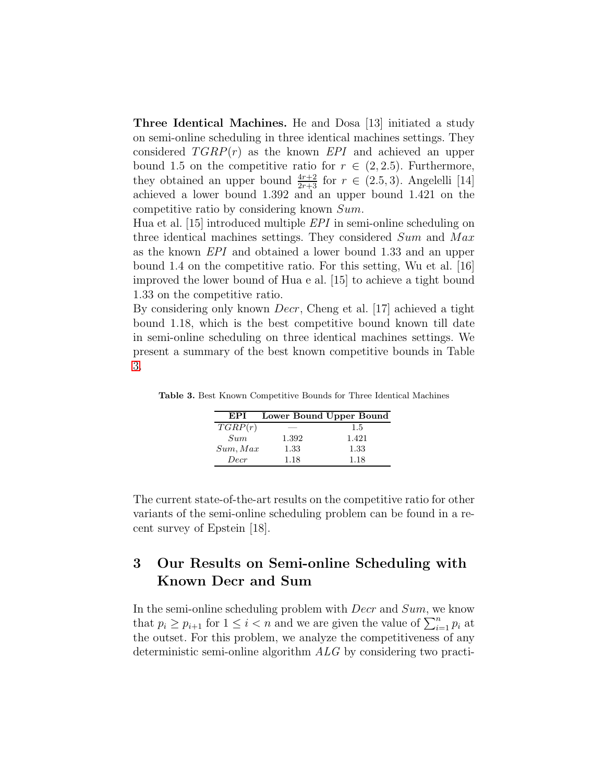Three Identical Machines. He and Dosa [13] initiated a study on semi-online scheduling in three identical machines settings. They considered  $TGRP(r)$  as the known EPI and achieved an upper bound 1.5 on the competitive ratio for  $r \in (2, 2.5)$ . Furthermore, they obtained an upper bound  $\frac{4r+2}{2r+3}$  for  $r \in (2.5,3)$ . Angelelli [14] achieved a lower bound 1.392 and an upper bound 1.421 on the competitive ratio by considering known Sum.

Hua et al. [15] introduced multiple EPI in semi-online scheduling on three identical machines settings. They considered Sum and Max as the known EPI and obtained a lower bound 1.33 and an upper bound 1.4 on the competitive ratio. For this setting, Wu et al. [16] improved the lower bound of Hua e al. [15] to achieve a tight bound 1.33 on the competitive ratio.

By considering only known Decr, Cheng et al. [17] achieved a tight bound 1.18, which is the best competitive bound known till date in semi-online scheduling on three identical machines settings. We present a summary of the best known competitive bounds in Table [3.](#page-7-0)

<span id="page-7-0"></span>

| EPI      |       | Lower Bound Upper Bound |
|----------|-------|-------------------------|
| TGRP(r)  |       | 1.5                     |
| Sum      | 1.392 | 1.421                   |
| Sum, Max | 1.33  | 1.33                    |
| Decr     | 1.18  | 1.18                    |

Table 3. Best Known Competitive Bounds for Three Identical Machines

The current state-of-the-art results on the competitive ratio for other variants of the semi-online scheduling problem can be found in a recent survey of Epstein [18].

# 3 Our Results on Semi-online Scheduling with Known Decr and Sum

In the semi-online scheduling problem with  $Decr$  and  $Sum$ , we know that  $p_i \geq p_{i+1}$  for  $1 \leq i < n$  and we are given the value of  $\sum_{i=1}^{n} p_i$  at the outset. For this problem, we analyze the competitiveness of any deterministic semi-online algorithm ALG by considering two practi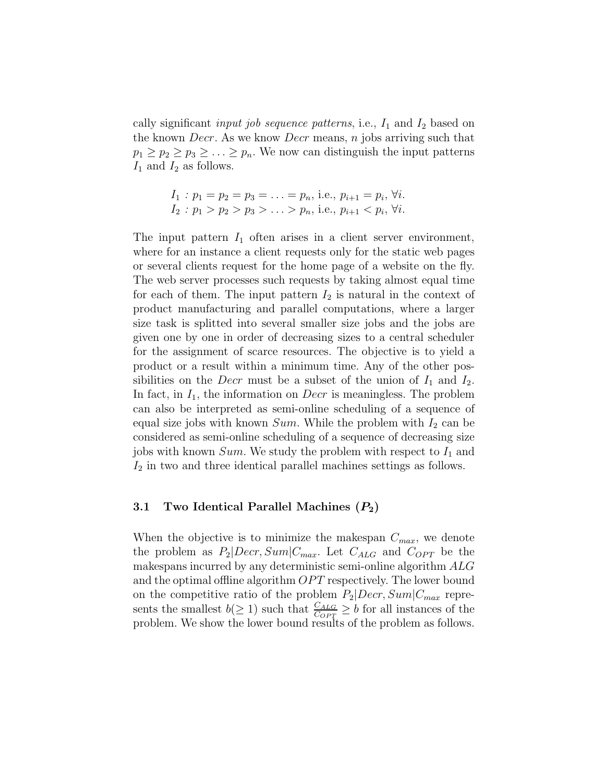cally significant *input job sequence patterns*, i.e.,  $I_1$  and  $I_2$  based on the known *Decr*. As we know *Decr* means, *n* jobs arriving such that  $p_1 \geq p_2 \geq p_3 \geq \ldots \geq p_n$ . We now can distinguish the input patterns  $I_1$  and  $I_2$  as follows.

$$
I_1: p_1 = p_2 = p_3 = \ldots = p_n, \text{ i.e., } p_{i+1} = p_i, \forall i.
$$
  
\n
$$
I_2: p_1 > p_2 > p_3 > \ldots > p_n, \text{ i.e., } p_{i+1} < p_i, \forall i.
$$

The input pattern  $I_1$  often arises in a client server environment, where for an instance a client requests only for the static web pages or several clients request for the home page of a website on the fly. The web server processes such requests by taking almost equal time for each of them. The input pattern  $I_2$  is natural in the context of product manufacturing and parallel computations, where a larger size task is splitted into several smaller size jobs and the jobs are given one by one in order of decreasing sizes to a central scheduler for the assignment of scarce resources. The objective is to yield a product or a result within a minimum time. Any of the other possibilities on the *Decr* must be a subset of the union of  $I_1$  and  $I_2$ . In fact, in  $I_1$ , the information on *Decr* is meaningless. The problem can also be interpreted as semi-online scheduling of a sequence of equal size jobs with known  $Sum$ . While the problem with  $I_2$  can be considered as semi-online scheduling of a sequence of decreasing size jobs with known  $Sum$ . We study the problem with respect to  $I_1$  and  $I_2$  in two and three identical parallel machines settings as follows.

#### 3.1 Two Identical Parallel Machines  $(P_2)$

When the objective is to minimize the makespan  $C_{max}$ , we denote the problem as  $P_2|Decr, Sum|C_{max}$ . Let  $C_{ALG}$  and  $C_{OPT}$  be the makespans incurred by any deterministic semi-online algorithm ALG and the optimal offline algorithm  $OPT$  respectively. The lower bound on the competitive ratio of the problem  $P_2|Decr, Sum|C_{max}$  represents the smallest  $b(\geq 1)$  such that  $\frac{C_{ALG}}{C_{OPT}} \geq b$  for all instances of the problem. We show the lower bound results of the problem as follows.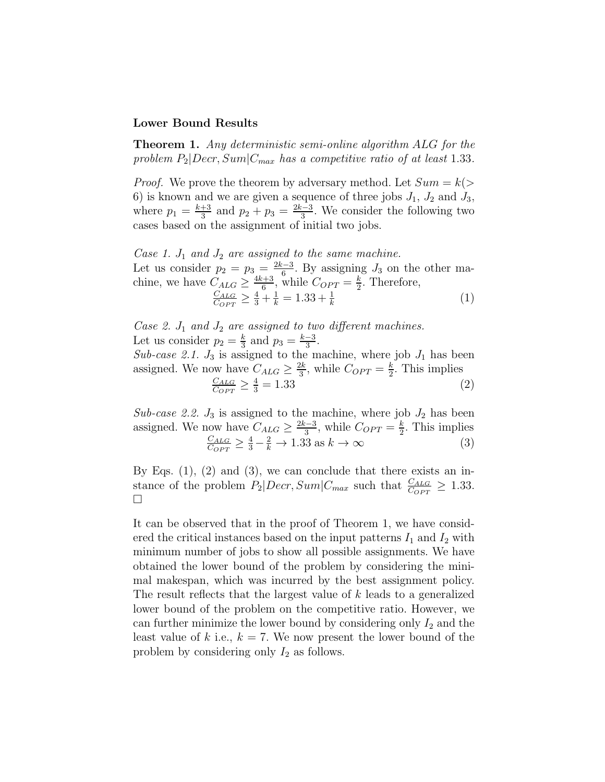#### Lower Bound Results

Theorem 1. Any deterministic semi-online algorithm ALG for the problem  $P_2|Decr, Sum|C_{max}$  has a competitive ratio of at least 1.33.

*Proof.* We prove the theorem by adversary method. Let  $Sum = k$ 6) is known and we are given a sequence of three jobs  $J_1$ ,  $J_2$  and  $J_3$ , where  $p_1 = \frac{k+3}{3}$  $\frac{+3}{3}$  and  $p_2 + p_3 = \frac{2k-3}{3}$  $\frac{3^{1}-3}{3}$ . We consider the following two cases based on the assignment of initial two jobs.

Case 1.  $J_1$  and  $J_2$  are assigned to the same machine. Let us consider  $p_2 = p_3 = \frac{2k-3}{6}$  $\frac{d-3}{6}$ . By assigning  $J_3$  on the other machine, we have  $C_{ALG} \geq \frac{4k+3}{6}$  $\frac{k+3}{6}$ , while  $C_{OPT} = \frac{k}{2}$  $\frac{k}{2}$ . Therefore,  $C_{ALG}$  $\frac{C_{ALG}}{C_{OPT}} \ge \frac{4}{3} + \frac{1}{k} = 1.33 + \frac{1}{k}$  (1)

Case 2.  $J_1$  and  $J_2$  are assigned to two different machines. Let us consider  $p_2 = \frac{k}{3}$  $\frac{k}{3}$  and  $p_3 = \frac{k-3}{3}$  $\frac{-3}{3}$ . Sub-case 2.1.  $J_3$  is assigned to the machine, where job  $J_1$  has been assigned. We now have  $C_{ALG} \geq \frac{2k}{3}$  $\frac{2k}{3}$ , while  $C_{OPT} = \frac{k}{2}$  $\frac{k}{2}$ . This implies  $C_{ALG}$  $\frac{C_{ALG}}{C_{OPT}} \ge \frac{4}{3} = 1.33$  (2)

Sub-case 2.2.  $J_3$  is assigned to the machine, where job  $J_2$  has been assigned. We now have  $C_{ALG} \geq \frac{2k-3}{3}$  $\frac{k-3}{3}$ , while  $C_{OPT} = \frac{k}{2}$  $\frac{k}{2}$ . This implies  $C_{ALG}$  $\frac{C_{ALG}}{C_{OPT}} \ge \frac{4}{3} - \frac{2}{k} \to 1.33 \text{ as } k \to \infty$  (3)

By Eqs.  $(1)$ ,  $(2)$  and  $(3)$ , we can conclude that there exists an instance of the problem  $P_2|Decr, Sum|C_{max}$  such that  $\frac{C_{ALG}}{C_{OPT}} \ge 1.33$ .  $\Box$ 

It can be observed that in the proof of Theorem 1, we have considered the critical instances based on the input patterns  $I_1$  and  $I_2$  with minimum number of jobs to show all possible assignments. We have obtained the lower bound of the problem by considering the minimal makespan, which was incurred by the best assignment policy. The result reflects that the largest value of k leads to a generalized lower bound of the problem on the competitive ratio. However, we can further minimize the lower bound by considering only  $I_2$  and the least value of k i.e.,  $k = 7$ . We now present the lower bound of the problem by considering only  $I_2$  as follows.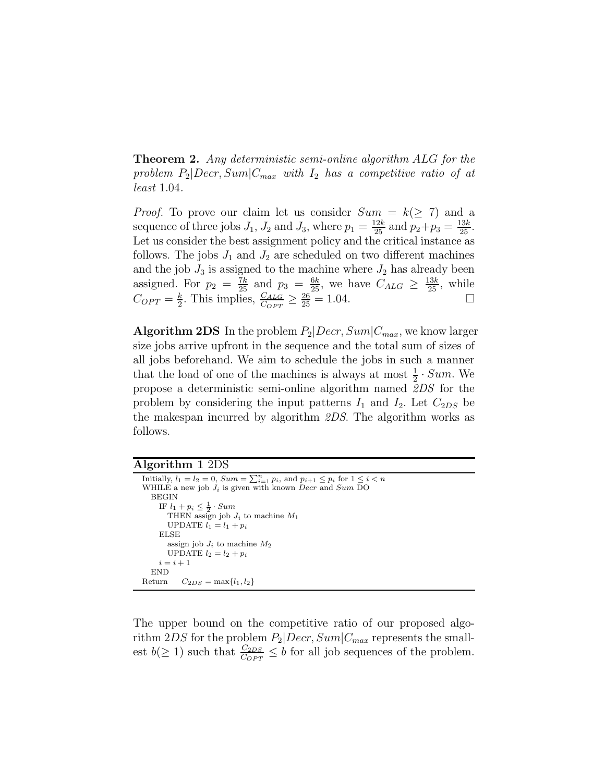Theorem 2. Any deterministic semi-online algorithm ALG for the problem  $P_2|Decr, Sum|C_{max}$  with  $I_2$  has a competitive ratio of at least 1.04.

*Proof.* To prove our claim let us consider  $Sum = k(\geq 7)$  and a sequence of three jobs  $J_1$ ,  $J_2$  and  $J_3$ , where  $p_1 = \frac{12k}{25}$  and  $p_2 + p_3 = \frac{13k}{25}$ . Let us consider the best assignment policy and the critical instance as follows. The jobs  $J_1$  and  $J_2$  are scheduled on two different machines and the job  $J_3$  is assigned to the machine where  $J_2$  has already been assigned. For  $p_2 = \frac{7k}{25}$  and  $p_3 = \frac{6k}{25}$ , we have  $C_{ALG} \ge \frac{13k}{25}$ , while  $C_{OPT} = \frac{k}{2}$  $\frac{k}{2}$ . This implies,  $\frac{C_{ALG}}{C_{OPT}} \ge \frac{26}{25} = 1.04$ .

**Algorithm 2DS** In the problem  $P_2|Decr, Sum|C_{max}$ , we know larger size jobs arrive upfront in the sequence and the total sum of sizes of all jobs beforehand. We aim to schedule the jobs in such a manner that the load of one of the machines is always at most  $\frac{1}{2} \cdot Sum$ . We propose a deterministic semi-online algorithm named 2DS for the problem by considering the input patterns  $I_1$  and  $I_2$ . Let  $C_{2DS}$  be the makespan incurred by algorithm 2DS. The algorithm works as follows.

| Algorithm 1 2DS |  |  |
|-----------------|--|--|
|-----------------|--|--|

| Initially, $l_1 = l_2 = 0$ , $Sum = \sum_{i=1}^{n} p_i$ , and $p_{i+1} \leq p_i$ for $1 \leq i < n$ |
|-----------------------------------------------------------------------------------------------------|
| WHILE a new job $J_i$ is given with known <i>Decr</i> and Sum DO                                    |
| <b>BEGIN</b>                                                                                        |
| IF $l_1 + p_i \leq \frac{1}{2} \cdot Sum$                                                           |
| THEN assign job $J_i$ to machine $M_1$                                                              |
| UPDATE $l_1 = l_1 + p_i$                                                                            |
| ELSE                                                                                                |
| assign job $J_i$ to machine $M_2$                                                                   |
| UPDATE $l_2 = l_2 + p_i$                                                                            |
| $i=i+1$                                                                                             |
| END                                                                                                 |
| Return $C_{2DS} = \max\{l_1, l_2\}$                                                                 |

The upper bound on the competitive ratio of our proposed algorithm  $2DS$  for the problem  $P_2|Decr, Sum|C_{max}$  represents the smallest  $b(\geq 1)$  such that  $\frac{C_{2DS}}{C_{OPT}} \leq b$  for all job sequences of the problem.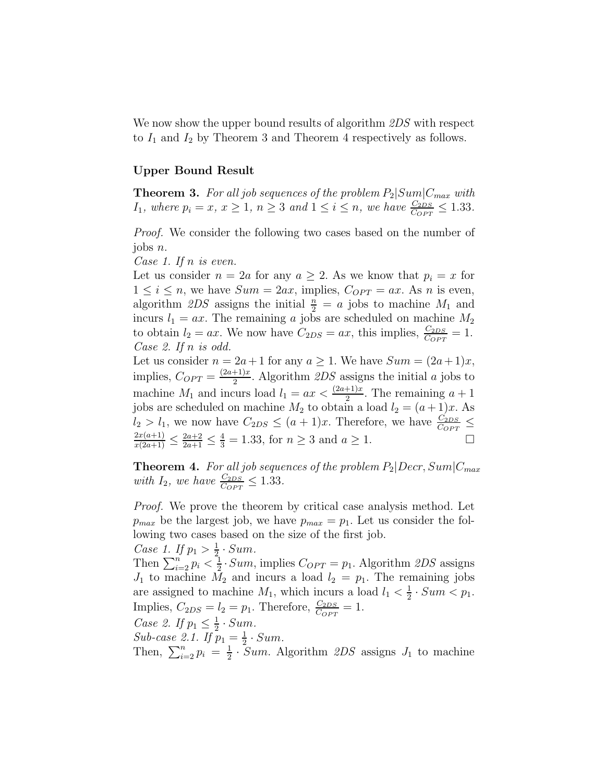We now show the upper bound results of algorithm  $2DS$  with respect to  $I_1$  and  $I_2$  by Theorem 3 and Theorem 4 respectively as follows.

#### Upper Bound Result

**Theorem 3.** For all job sequences of the problem  $P_2|Sum|C_{max}$  with  $I_1$ , where  $p_i = x$ ,  $x \ge 1$ ,  $n \ge 3$  and  $1 \le i \le n$ , we have  $\frac{C_{2DS}}{C_{OPT}} \le 1.33$ .

Proof. We consider the following two cases based on the number of jobs n.

Case 1. If n is even.

Let us consider  $n = 2a$  for any  $a \geq 2$ . As we know that  $p_i = x$  for  $1 \leq i \leq n$ , we have  $Sum = 2ax$ , implies,  $C_{OPT} = ax$ . As n is even, algorithm 2DS assigns the initial  $\frac{n}{2} = a$  jobs to machine  $M_1$  and incurs  $l_1 = ax$ . The remaining a jobs are scheduled on machine  $M_2$ to obtain  $l_2 = ax$ . We now have  $C_{2DS} = ax$ , this implies,  $\frac{C_{2DS}}{C_{OPT}} = 1$ . Case 2. If n is odd.

Let us consider  $n = 2a + 1$  for any  $a \ge 1$ . We have  $Sum = (2a + 1)x$ , implies,  $C_{OPT} = \frac{(2a+1)x}{2}$  $\frac{2}{2}$ . Algorithm 2DS assigns the initial a jobs to machine  $M_1$  and incurs load  $l_1 = ax < \frac{(2a+1)x}{2}$ . The remaining  $a+1$ jobs are scheduled on machine  $M_2$  to obtain a load  $l_2 = (a+1)x$ . As  $l_2 > l_1$ , we now have  $C_{2DS} \leq (a+1)x$ . Therefore, we have  $\frac{C_{2DS}}{C_{OPT}} \leq$  $\frac{2x(a+1)}{x(2a+1)} \leq \frac{2a+2}{2a+1} \leq \frac{4}{3} = 1.33$ , for  $n \geq 3$  and  $a \geq 1$ .

**Theorem 4.** For all job sequences of the problem  $P_2|Decr, Sum|C_{max}$ with  $I_2$ , we have  $\frac{C_{2DS}}{C_{OPT}} \leq 1.33$ .

Proof. We prove the theorem by critical case analysis method. Let  $p_{max}$  be the largest job, we have  $p_{max} = p_1$ . Let us consider the following two cases based on the size of the first job.

*Case 1.* If  $p_1 > \frac{1}{2}$  $rac{1}{2}$  · Sum. Then  $\sum_{i=2}^n p_i < \frac{1}{2}$  $\frac{1}{2} \cdot Sum$ , implies  $C_{OPT} = p_1$ . Algorithm  $2DS$  assigns  $J_1$  to machine  $\tilde{M}_2$  and incurs a load  $l_2 = p_1$ . The remaining jobs are assigned to machine  $M_1$ , which incurs a load  $l_1 < \frac{1}{2}$  $rac{1}{2} \cdot Sum < p_1.$ Implies,  $C_{2DS} = l_2 = p_1$ . Therefore,  $\frac{C_{2DS}}{C_{OPT}} = 1$ . Case 2. If  $p_1 \n\t\leq \frac{1}{2}$  $rac{1}{2}$ . Sum. Sub-case 2.1. If  $p_1 = \frac{1}{2}$  $rac{1}{2}$ . Sum. Then,  $\sum_{i=2}^{n} p_i = \frac{1}{2}$  $\frac{1}{2}$  · Sum. Algorithm 2DS assigns  $J_1$  to machine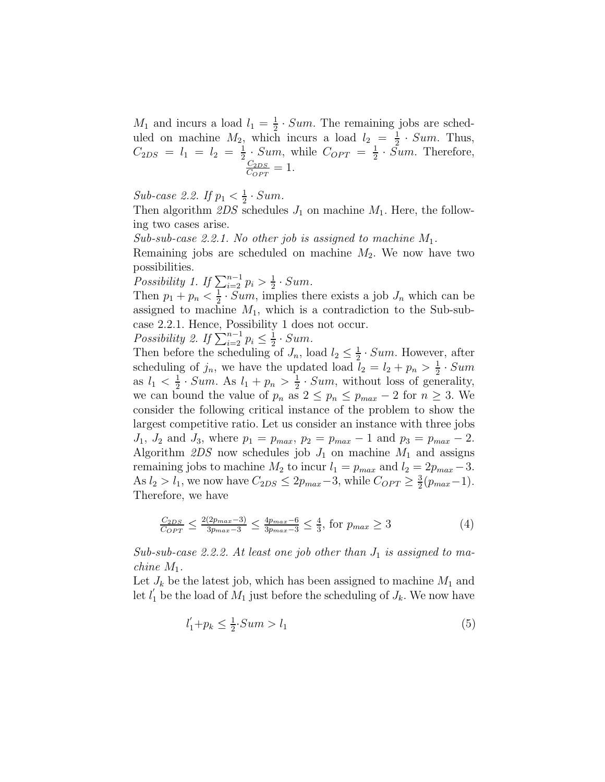$M_1$  and incurs a load  $l_1 = \frac{1}{2}$  $\frac{1}{2} \cdot Sum$ . The remaining jobs are scheduled on machine  $M_2$ , which incurs a load  $l_2 = \frac{1}{2}$  $\frac{1}{2}$  · *Sum*. Thus,  $C_{2DS}$  =  $l_1$  =  $l_2$  =  $\frac{1}{2}$  $\frac{1}{2}$  · Sum, while  $C_{OPT} = \frac{1}{2}$  $\frac{1}{2} \cdot Sum$ . Therefore,  $C_{2DS}$  $\frac{C_{2DS}}{C_{OPT}} = 1.$ 

Sub-case 2.2. If  $p_1 < \frac{1}{2}$  $rac{1}{2}$  · Sum.

Then algorithm  $2DS$  schedules  $J_1$  on machine  $M_1$ . Here, the following two cases arise.

Sub-sub-case 2.2.1. No other job is assigned to machine  $M_1$ .

Remaining jobs are scheduled on machine  $M_2$ . We now have two possibilities.

Possibility 1. If  $\sum_{i=2}^{n-1} p_i > \frac{1}{2}$  $rac{1}{2}$  · Sum.

Then  $p_1 + p_n < \frac{1}{2}$  $\frac{1}{2} \cdot Sum$ , implies there exists a job  $J_n$  which can be assigned to machine  $M_1$ , which is a contradiction to the Sub-subcase 2.2.1. Hence, Possibility 1 does not occur.

Possibility 2. If  $\sum_{i=2}^{n-1} p_i \leq \frac{1}{2}$  $rac{1}{2}$  · Sum.

Then before the scheduling of  $J_n$ , load  $l_2 \leq \frac{1}{2}$  $\frac{1}{2}$  · Sum. However, after scheduling of  $j_n$ , we have the updated load  $l_2 = l_2 + p_n > \frac{1}{2}$  $rac{1}{2} \cdot Sum$ as  $l_1 < \frac{1}{2}$  $\frac{1}{2} \cdot Sum$ . As  $l_1 + p_n > \frac{1}{2}$  $\frac{1}{2}$  · Sum, without loss of generality, we can bound the value of  $p_n$  as  $2 \leq p_n \leq p_{max} - 2$  for  $n \geq 3$ . We consider the following critical instance of the problem to show the largest competitive ratio. Let us consider an instance with three jobs  $J_1, J_2 \text{ and } J_3 \text{, where } p_1 = p_{max}, p_2 = p_{max} - 1 \text{ and } p_3 = p_{max} - 2.$ Algorithm  $2DS$  now schedules job  $J_1$  on machine  $M_1$  and assigns remaining jobs to machine  $M_2$  to incur  $l_1 = p_{max}$  and  $l_2 = 2p_{max} - 3$ . As  $l_2 > l_1$ , we now have  $C_{2DS} \leq 2p_{max}-3$ , while  $C_{OPT} \geq \frac{3}{2}$  $\frac{3}{2}(p_{max}-1).$ Therefore, we have

$$
\frac{C_{2DS}}{C_{OPT}} \le \frac{2(2p_{max} - 3)}{3p_{max} - 3} \le \frac{4p_{max} - 6}{3p_{max} - 3} \le \frac{4}{3}, \text{ for } p_{max} \ge 3
$$
 (4)

Sub-sub-case 2.2.2. At least one job other than  $J_1$  is assigned to machine  $M_1$ .

Let  $J_k$  be the latest job, which has been assigned to machine  $M_1$  and let  $l'_1$  be the load of  $M_1$  just before the scheduling of  $J_k$ . We now have

$$
l_1' + p_k \le \frac{1}{2} \cdot Sum > l_1 \tag{5}
$$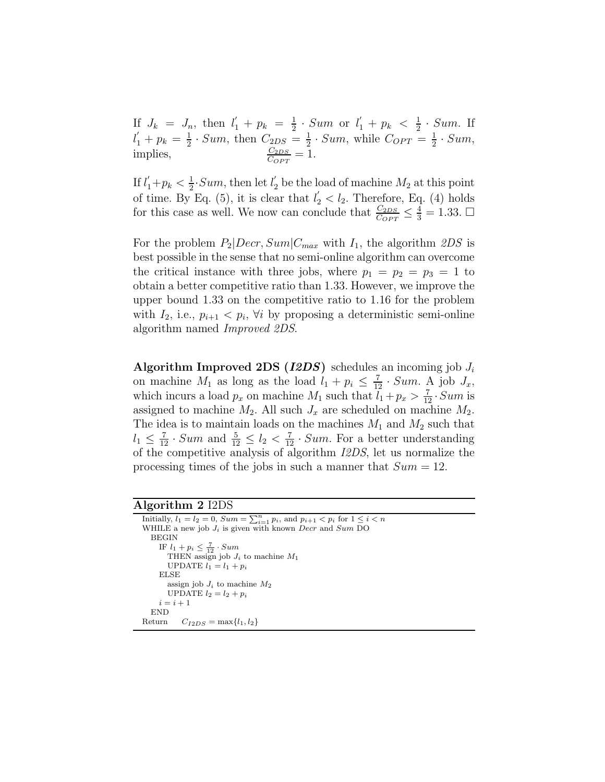If  $J_k = J_n$ , then  $l'_1 + p_k = \frac{1}{2}$  $\frac{1}{2} \cdot Sum \text{ or } l'_1 + p_k < \frac{1}{2}$  $rac{1}{2}$  · Sum. If  $l'_1 + p_k = \frac{1}{2}$  $\frac{1}{2} \cdot Sum$ , then  $C_{2DS} = \frac{1}{2}$  $\frac{1}{2} \cdot Sum$ , while  $C_{OPT} = \frac{1}{2}$  $rac{1}{2} \cdot Sum,$ implies,  $\frac{C_{2DS}}{C_{OPT}} = 1.$ 

If  $l_1' + p_k < \frac{1}{2}$  $\frac{1}{2}$ ·*Sum*, then let  $l'_2$  be the load of machine  $M_2$  at this point of time. By Eq. (5), it is clear that  $l'_2 < l_2$ . Therefore, Eq. (4) holds for this case as well. We now can conclude that  $\frac{C_{2DS}}{C_{OPT}} \leq \frac{4}{3} = 1.33$ .  $\Box$ 

For the problem  $P_2|Decr, Sum|C_{max}$  with  $I_1$ , the algorithm  $2DS$  is best possible in the sense that no semi-online algorithm can overcome the critical instance with three jobs, where  $p_1 = p_2 = p_3 = 1$  to obtain a better competitive ratio than 1.33. However, we improve the upper bound 1.33 on the competitive ratio to 1.16 for the problem with  $I_2$ , i.e.,  $p_{i+1} < p_i$ ,  $\forall i$  by proposing a deterministic semi-online algorithm named Improved 2DS.

Algorithm Improved 2DS (I2DS) schedules an incoming job  $J_i$ on machine  $M_1$  as long as the load  $l_1 + p_i \leq \frac{7}{12} \cdot Sum$ . A job  $J_x$ , which incurs a load  $p_x$  on machine  $M_1$  such that  $l_1 + p_x > \frac{7}{12} \cdot Sum$  is assigned to machine  $M_2$ . All such  $J_x$  are scheduled on machine  $M_2$ . The idea is to maintain loads on the machines  $M_1$  and  $M_2$  such that  $l_1 \leq \frac{7}{12} \cdot Sum$  and  $\frac{5}{12} \leq l_2 < \frac{7}{12} \cdot Sum$ . For a better understanding of the competitive analysis of algorithm I2DS, let us normalize the processing times of the jobs in such a manner that  $Sum = 12$ .

Algorithm 2 I2DS

| Initially, $l_1 = l_2 = 0$ , $Sum = \sum_{i=1}^{n} p_i$ , and $p_{i+1} < p_i$ for $1 \leq i < n$ |
|--------------------------------------------------------------------------------------------------|
| WHILE a new job $J_i$ is given with known <i>Decr</i> and Sum DO                                 |
| <b>BEGIN</b>                                                                                     |
| IF $l_1 + p_i \leq \frac{7}{12} \cdot Sum$                                                       |
| THEN assign job $J_i$ to machine $M_1$                                                           |
| UPDATE $l_1 = l_1 + p_i$                                                                         |
| ELSE                                                                                             |
| assign job $J_i$ to machine $M_2$                                                                |
| UPDATE $l_2 = l_2 + p_i$                                                                         |
| $i=i+1$                                                                                          |
| <b>END</b>                                                                                       |
| $C_{I2DS} = \max\{l_1, l_2\}$<br>Return                                                          |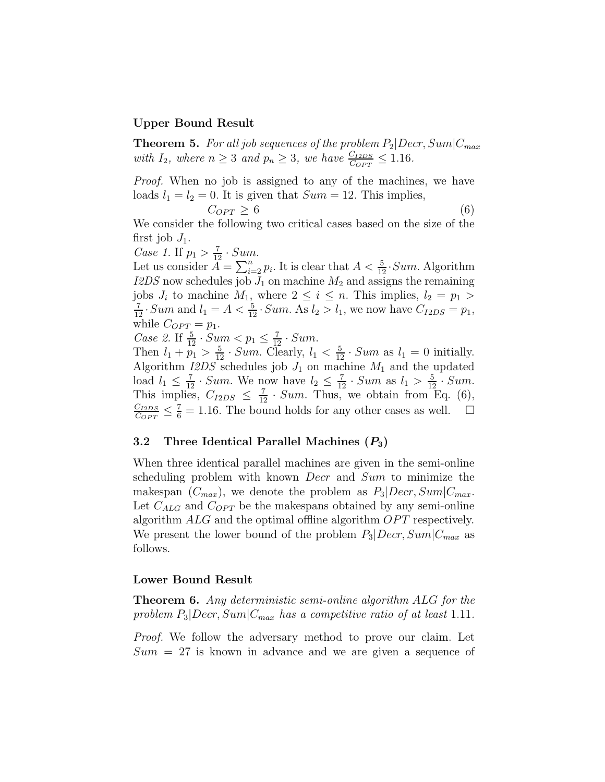#### Upper Bound Result

**Theorem 5.** For all job sequences of the problem  $P_2|Decr, Sum|C_{max}$ with  $I_2$ , where  $n \geq 3$  and  $p_n \geq 3$ , we have  $\frac{C_{I2DS}}{C_{OPT}} \leq 1.16$ .

Proof. When no job is assigned to any of the machines, we have loads  $l_1 = l_2 = 0$ . It is given that  $Sum = 12$ . This implies,

$$
C_{OPT} \ge 6 \tag{6}
$$

We consider the following two critical cases based on the size of the first job  $J_1$ .

Case 1. If  $p_1 > \frac{7}{12} \cdot Sum$ .

Let us consider  $\mathring{A} = \sum_{i=2}^n p_i$ . It is clear that  $A < \frac{5}{12}$ . Sum. Algorithm  $I2DS$  now schedules job  $J_1$  on machine  $M_2$  and assigns the remaining jobs  $J_i$  to machine  $M_1$ , where  $2 \leq i \leq n$ . This implies,  $l_2 = p_1 >$  $\frac{7}{12}$  · Sum and  $l_1 = A < \frac{5}{12}$  · Sum. As  $l_2 > l_1$ , we now have  $C_{I2DS} = p_1$ , while  $C_{OPT} = p_1$ .

Case 2. If  $\frac{5}{12} \cdot Sum < p_1 \leq \frac{7}{12} \cdot Sum$ .

Then  $l_1 + \overline{p_1} > \frac{5}{12} \cdot Sum$ . Clearly,  $l_1 < \frac{5}{12} \cdot Sum$  as  $l_1 = 0$  initially. Algorithm  $I2DS$  schedules job  $J_1$  on machine  $M_1$  and the updated load  $l_1 \leq \frac{7}{12} \cdot Sum$ . We now have  $l_2 \leq \frac{7}{12} \cdot Sum$  as  $l_1 > \frac{5}{12} \cdot Sum$ . This implies,  $C_{I2DS} \leq \frac{7}{12} \cdot Sum$ . Thus, we obtain from Eq. (6),  $C_{I2DS}$  $\frac{C_{I2DS}}{C_{OPT}} \leq \frac{7}{6} = 1.16$ . The bound holds for any other cases as well.  $\Box$ 

#### 3.2 Three Identical Parallel Machines  $(P_3)$

When three identical parallel machines are given in the semi-online scheduling problem with known *Decr* and *Sum* to minimize the makespan  $(C_{max})$ , we denote the problem as  $P_3|Decr, Sum|C_{max}$ . Let  $C_{ALG}$  and  $C_{OPT}$  be the makespans obtained by any semi-online algorithm  $ALG$  and the optimal offline algorithm  $OPT$  respectively. We present the lower bound of the problem  $P_3|Decr, Sum|C_{max}$  as follows.

#### Lower Bound Result

**Theorem 6.** Any deterministic semi-online algorithm ALG for the problem  $P_3|Decr, Sum|C_{max}$  has a competitive ratio of at least 1.11.

Proof. We follow the adversary method to prove our claim. Let  $Sum = 27$  is known in advance and we are given a sequence of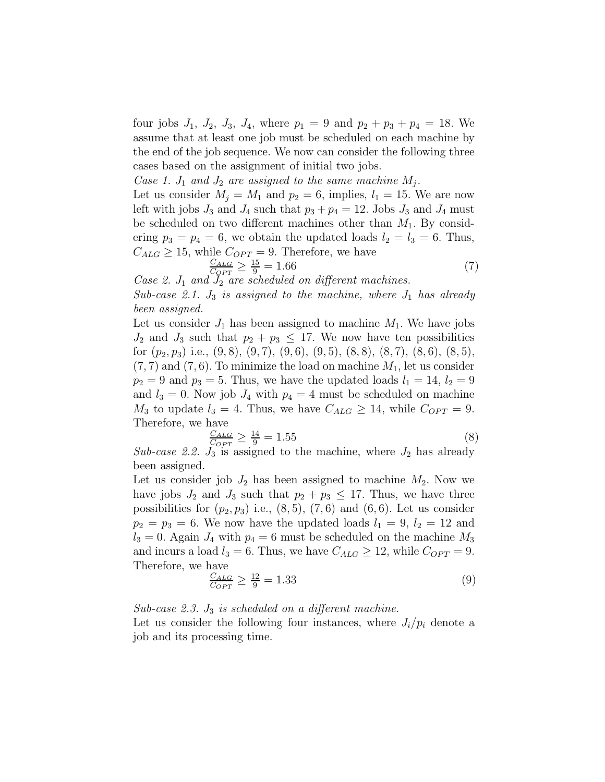four jobs  $J_1$ ,  $J_2$ ,  $J_3$ ,  $J_4$ , where  $p_1 = 9$  and  $p_2 + p_3 + p_4 = 18$ . We assume that at least one job must be scheduled on each machine by the end of the job sequence. We now can consider the following three cases based on the assignment of initial two jobs.

Case 1.  $J_1$  and  $J_2$  are assigned to the same machine  $M_j$ .

Let us consider  $M_i = M_1$  and  $p_2 = 6$ , implies,  $l_1 = 15$ . We are now left with jobs  $J_3$  and  $J_4$  such that  $p_3 + p_4 = 12$ . Jobs  $J_3$  and  $J_4$  must be scheduled on two different machines other than  $M_1$ . By considering  $p_3 = p_4 = 6$ , we obtain the updated loads  $l_2 = l_3 = 6$ . Thus,  $C_{ALG} \geq 15$ , while  $C_{OPT} = 9$ . Therefore, we have

$$
\frac{C_{ALG}}{C_{OPT}} \ge \frac{15}{9} = 1.66\tag{7}
$$

Case 2.  $J_1$  and  $J_2$  are scheduled on different machines. Sub-case 2.1.  $J_3$  is assigned to the machine, where  $J_1$  has already been assigned.

Let us consider  $J_1$  has been assigned to machine  $M_1$ . We have jobs  $J_2$  and  $J_3$  such that  $p_2 + p_3 \leq 17$ . We now have ten possibilities for  $(p_2, p_3)$  i.e.,  $(9, 8)$ ,  $(9, 7)$ ,  $(9, 6)$ ,  $(9, 5)$ ,  $(8, 8)$ ,  $(8, 7)$ ,  $(8, 6)$ ,  $(8, 5)$ ,  $(7, 7)$  and  $(7, 6)$ . To minimize the load on machine  $M_1$ , let us consider  $p_2 = 9$  and  $p_3 = 5$ . Thus, we have the updated loads  $l_1 = 14$ ,  $l_2 = 9$ and  $l_3 = 0$ . Now job  $J_4$  with  $p_4 = 4$  must be scheduled on machine  $M_3$  to update  $l_3 = 4$ . Thus, we have  $C_{ALG} \geq 14$ , while  $C_{OPT} = 9$ . Therefore, we have

$$
\frac{C_{ALG}}{C_{OPT}} \ge \frac{14}{9} = 1.55\tag{8}
$$

Sub-case 2.2.  $J_3$  is assigned to the machine, where  $J_2$  has already been assigned.

Let us consider job  $J_2$  has been assigned to machine  $M_2$ . Now we have jobs  $J_2$  and  $J_3$  such that  $p_2 + p_3 \leq 17$ . Thus, we have three possibilities for  $(p_2, p_3)$  i.e.,  $(8, 5)$ ,  $(7, 6)$  and  $(6, 6)$ . Let us consider  $p_2 = p_3 = 6$ . We now have the updated loads  $l_1 = 9$ ,  $l_2 = 12$  and  $l_3 = 0$ . Again  $J_4$  with  $p_4 = 6$  must be scheduled on the machine  $M_3$ and incurs a load  $l_3 = 6$ . Thus, we have  $C_{ALG} \geq 12$ , while  $C_{OPT} = 9$ . Therefore, we have

$$
\frac{C_{ALG}}{C_{OPT}} \ge \frac{12}{9} = 1.33\tag{9}
$$

Sub-case 2.3.  $J_3$  is scheduled on a different machine.

Let us consider the following four instances, where  $J_i/p_i$  denote a job and its processing time.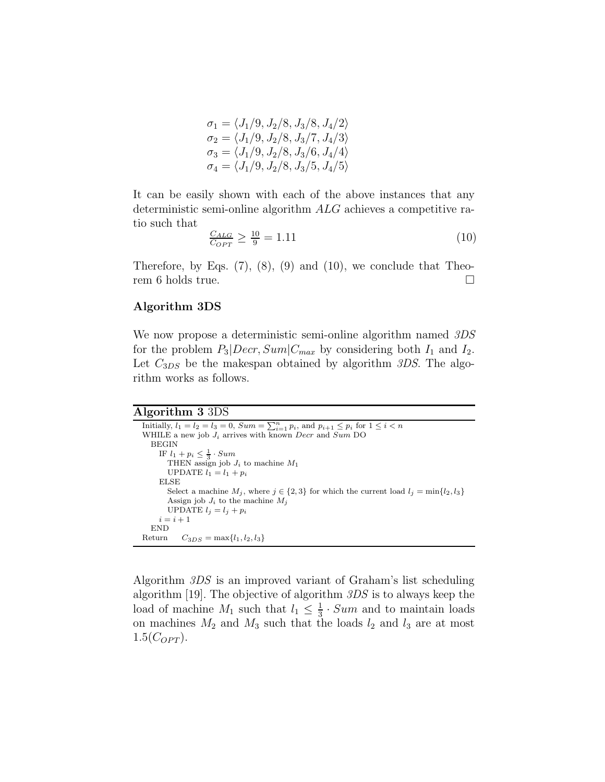$$
\sigma_1 = \langle J_1/9, J_2/8, J_3/8, J_4/2 \rangle \n\sigma_2 = \langle J_1/9, J_2/8, J_3/7, J_4/3 \rangle \n\sigma_3 = \langle J_1/9, J_2/8, J_3/6, J_4/4 \rangle \n\sigma_4 = \langle J_1/9, J_2/8, J_3/5, J_4/5 \rangle
$$

It can be easily shown with each of the above instances that any deterministic semi-online algorithm ALG achieves a competitive ratio such that

$$
\frac{C_{ALG}}{C_{OPT}} \ge \frac{10}{9} = 1.11\tag{10}
$$

Therefore, by Eqs.  $(7)$ ,  $(8)$ ,  $(9)$  and  $(10)$ , we conclude that Theorem 6 holds true.

#### Algorithm 3DS

We now propose a deterministic semi-online algorithm named 3DS for the problem  $P_3|Decr, Sum|C_{max}$  by considering both  $I_1$  and  $I_2$ . Let  $C_{3DS}$  be the makespan obtained by algorithm 3DS. The algorithm works as follows.

#### Algorithm 3 3DS

```
Initially, l_1 = l_2 = l_3 = 0, Sum = \sum_{i=1}^{n} p_i, and p_{i+1} \leq p_i for 1 \leq i < nWHILE a new job J_i arrives with known Decr and Sum DO
  BEGIN
     IF l_1 + p_i \leq \frac{1}{3} \cdot SumTHEN assign job J_i to machine M_1UPDATE l_1 = l_1 + p_iELSE
       Select a machine M_j, where j \in \{2,3\} for which the current load l_j = \min\{l_2, l_3\}Assign job J_i to the machine M_jUPDATE l_j = l_j + p_ii = i + 1END
Return C_{3DS} = \max\{l_1, l_2, l_3\}
```
Algorithm 3DS is an improved variant of Graham's list scheduling algorithm [19]. The objective of algorithm 3DS is to always keep the load of machine  $M_1$  such that  $l_1 \leq \frac{1}{3}$  $\frac{1}{3}$  · Sum and to maintain loads on machines  $M_2$  and  $M_3$  such that the loads  $l_2$  and  $l_3$  are at most  $1.5(C_{OPT})$ .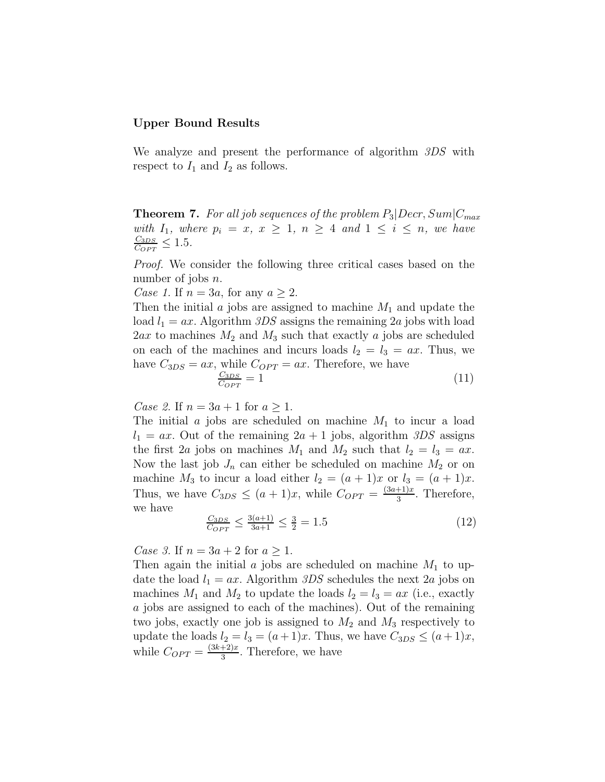#### Upper Bound Results

We analyze and present the performance of algorithm 3DS with respect to  $I_1$  and  $I_2$  as follows.

**Theorem 7.** For all job sequences of the problem  $P_3|Decr, Sum|C_{max}$ with  $I_1$ , where  $p_i = x, x \ge 1, n \ge 4$  and  $1 \le i \le n$ , we have  $C_{3DS}$  $\frac{C_{3DS}}{C_{OPT}} \leq 1.5.$ 

Proof. We consider the following three critical cases based on the number of jobs  $n$ .

Case 1. If  $n = 3a$ , for any  $a \geq 2$ .

Then the initial  $\alpha$  jobs are assigned to machine  $M_1$  and update the load  $l_1 = ax$ . Algorithm 3DS assigns the remaining 2a jobs with load  $2ax$  to machines  $M_2$  and  $M_3$  such that exactly a jobs are scheduled on each of the machines and incurs loads  $l_2 = l_3 = ax$ . Thus, we have  $C_{3DS} = ax$ , while  $C_{OPT} = ax$ . Therefore, we have  $C_{3DS}$  $\frac{C_{3DS}}{C_{OPT}} = 1$  (11)

Case 2. If  $n = 3a + 1$  for  $a \ge 1$ .

The initial  $\alpha$  jobs are scheduled on machine  $M_1$  to incur a load  $l_1 = ax$ . Out of the remaining  $2a + 1$  jobs, algorithm  $3DS$  assigns the first 2a jobs on machines  $M_1$  and  $M_2$  such that  $l_2 = l_3 = ax$ . Now the last job  $J_n$  can either be scheduled on machine  $M_2$  or on machine  $M_3$  to incur a load either  $l_2 = (a+1)x$  or  $l_3 = (a+1)x$ . Thus, we have  $C_{3DS} \leq (a+1)x$ , while  $C_{OPT} = \frac{(3a+1)x}{3}$  $\frac{+1}{3}$ . Therefore, we have

$$
\frac{C_{3DS}}{C_{OPT}} \le \frac{3(a+1)}{3a+1} \le \frac{3}{2} = 1.5
$$
\n(12)

Case 3. If  $n = 3a + 2$  for  $a \ge 1$ .

Then again the initial  $\alpha$  jobs are scheduled on machine  $M_1$  to update the load  $l_1 = ax$ . Algorithm 3DS schedules the next 2a jobs on machines  $M_1$  and  $M_2$  to update the loads  $l_2 = l_3 = ax$  (i.e., exactly a jobs are assigned to each of the machines). Out of the remaining two jobs, exactly one job is assigned to  $M_2$  and  $M_3$  respectively to update the loads  $l_2 = l_3 = (a+1)x$ . Thus, we have  $C_{3DS} \leq (a+1)x$ , while  $C_{OPT} = \frac{(3k+2)x}{3}$  $\frac{+2}{3}$ . Therefore, we have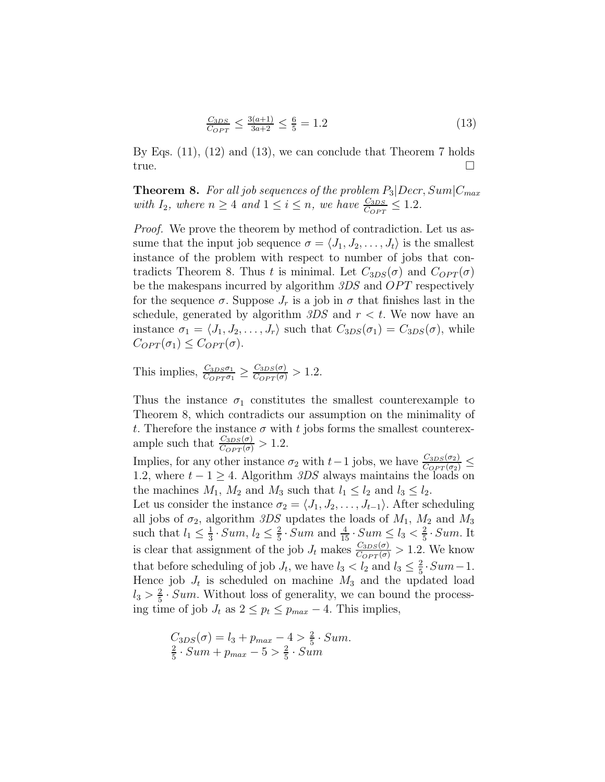$$
\frac{C_{3DS}}{C_{OPT}} \le \frac{3(a+1)}{3a+2} \le \frac{6}{5} = 1.2\tag{13}
$$

By Eqs. (11), (12) and (13), we can conclude that Theorem 7 holds true.

**Theorem 8.** For all job sequences of the problem  $P_3|Decr, Sum|C_{max}$ with  $I_2$ , where  $n \geq 4$  and  $1 \leq i \leq n$ , we have  $\frac{C_{3DS}}{C_{OPT}} \leq 1.2$ .

Proof. We prove the theorem by method of contradiction. Let us assume that the input job sequence  $\sigma = \langle J_1, J_2, \ldots, J_t \rangle$  is the smallest instance of the problem with respect to number of jobs that contradicts Theorem 8. Thus t is minimal. Let  $C_{3DS}(\sigma)$  and  $C_{OPT}(\sigma)$ be the makespans incurred by algorithm  $3DS$  and  $OPT$  respectively for the sequence  $\sigma$ . Suppose  $J_r$  is a job in  $\sigma$  that finishes last in the schedule, generated by algorithm  $3DS$  and  $r < t$ . We now have an instance  $\sigma_1 = \langle J_1, J_2, \ldots, J_r \rangle$  such that  $C_{3DS}(\sigma_1) = C_{3DS}(\sigma)$ , while  $C_{OPT}(\sigma_1) \leq C_{OPT}(\sigma)$ .

This implies,  $\frac{C_{3DS}\sigma_1}{C_{OPT}\sigma_1} \ge \frac{C_{3DS}(\sigma)}{C_{OPT}(\sigma)} > 1.2$ .

Thus the instance  $\sigma_1$  constitutes the smallest counterexample to Theorem 8, which contradicts our assumption on the minimality of t. Therefore the instance  $\sigma$  with t jobs forms the smallest counterexample such that  $\frac{C_{3DS}(\sigma)}{C_{OPT}(\sigma)} > 1.2$ .

Implies, for any other instance  $\sigma_2$  with  $t-1$  jobs, we have  $\frac{C_{3DS}(\sigma_2)}{C_{OPT}(\sigma_2)} \le$ 1.2, where  $t - 1 \geq 4$ . Algorithm 3DS always maintains the loads on the machines  $M_1$ ,  $M_2$  and  $M_3$  such that  $l_1 \leq l_2$  and  $l_3 \leq l_2$ .

Let us consider the instance  $\sigma_2 = \langle J_1, J_2, \ldots, J_{t-1} \rangle$ . After scheduling all jobs of  $\sigma_2$ , algorithm 3DS updates the loads of  $M_1$ ,  $M_2$  and  $M_3$ such that  $l_1 \leq \frac{1}{3}$  $\frac{1}{3}$ . Sum,  $l_2 \leq \frac{2}{5}$  $\frac{2}{5} \cdot Sum$  and  $\frac{4}{15} \cdot Sum \le l_3 < \frac{2}{5}$  $rac{2}{5}$  · Sum. It is clear that assignment of the job  $J_t$  makes  $\frac{C_{3DS}(\sigma)}{C_{OPT}(\sigma)} > 1.2$ . We know that before scheduling of job  $J_t$ , we have  $l_3 < l_2$  and  $l_3 \leq \frac{2}{5}$  $rac{2}{5}$ .  $Sum-1$ . Hence job  $J_t$  is scheduled on machine  $M_3$  and the updated load  $l_3 > \frac{2}{5}$  $\frac{2}{5}$  · Sum. Without loss of generality, we can bound the processing time of job  $J_t$  as  $2 \le p_t \le p_{max} - 4$ . This implies,

$$
C_{3DS}(\sigma) = l_3 + p_{max} - 4 > \frac{2}{5} \cdot Sum.
$$
  

$$
\frac{2}{5} \cdot Sum + p_{max} - 5 > \frac{2}{5} \cdot Sum
$$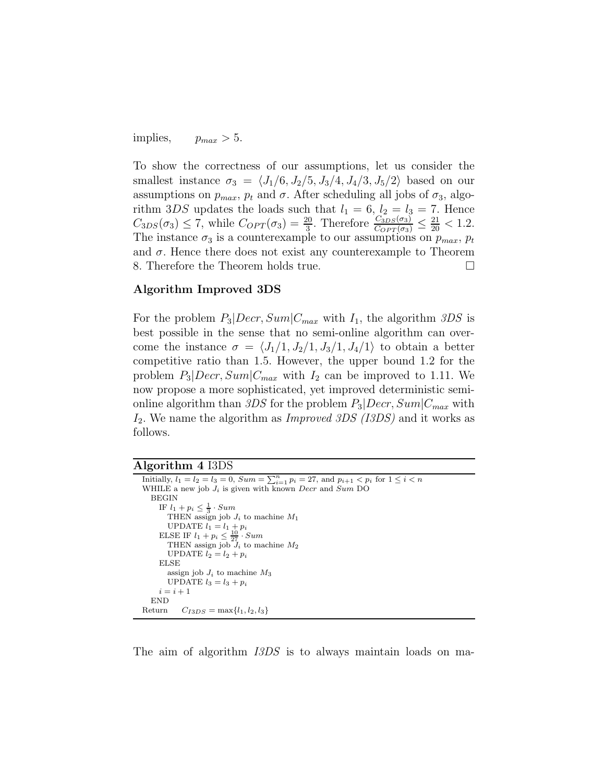implies,  $p_{max} > 5$ .

To show the correctness of our assumptions, let us consider the smallest instance  $\sigma_3 = \langle J_1/6, J_2/5, J_3/4, J_4/3, J_5/2 \rangle$  based on our assumptions on  $p_{max}$ ,  $p_t$  and  $\sigma$ . After scheduling all jobs of  $\sigma_3$ , algorithm 3DS updates the loads such that  $l_1 = 6$ ,  $l_2 = l_3 = 7$ . Hence  $C_{3DS}(\sigma_3) \le 7$ , while  $C_{OPT}(\sigma_3) = \frac{20}{3}$ . Therefore  $\frac{C_{3DS}(\sigma_3)}{C_{OPT}(\sigma_3)} \le \frac{21}{20} < 1.2$ . The instance  $\sigma_3$  is a counterexample to our assumptions on  $p_{max}$ ,  $p_t$ and  $\sigma$ . Hence there does not exist any counterexample to Theorem 8. Therefore the Theorem holds true.

#### Algorithm Improved 3DS

For the problem  $P_3|Decr, Sum|C_{max}$  with  $I_1$ , the algorithm 3DS is best possible in the sense that no semi-online algorithm can overcome the instance  $\sigma = \langle J_1/1, J_2/1, J_3/1, J_4/1 \rangle$  to obtain a better competitive ratio than 1.5. However, the upper bound 1.2 for the problem  $P_3|Decr, Sum|C_{max}$  with  $I_2$  can be improved to 1.11. We now propose a more sophisticated, yet improved deterministic semionline algorithm than 3DS for the problem  $P_3|Decr, Sum|C_{max}$  with  $I_2$ . We name the algorithm as *Improved 3DS (I3DS)* and it works as follows.

| Algorithm 4 I3DS |  |  |
|------------------|--|--|
|------------------|--|--|

| Initially, $l_1 = l_2 = l_3 = 0$ , $Sum = \sum_{i=1}^{n} p_i = 27$ , and $p_{i+1} < p_i$ for $1 \leq i < n$ |
|-------------------------------------------------------------------------------------------------------------|
| WHILE a new job $J_i$ is given with known <i>Decr</i> and Sum DO                                            |
| <b>BEGIN</b>                                                                                                |
| IF $l_1 + p_i \leq \frac{1}{3} \cdot Sum$                                                                   |
| THEN assign job $J_i$ to machine $M_1$                                                                      |
| UPDATE $l_1 = l_1 + p_i$                                                                                    |
| ELSE IF $l_1 + p_i \leq \frac{10}{27} \cdot Sum$                                                            |
| THEN assign job $J_i$ to machine $M_2$                                                                      |
| UPDATE $l_2 = l_2 + p_i$                                                                                    |
| ELSE                                                                                                        |
| assign job $J_i$ to machine $M_3$                                                                           |
| UPDATE $l_3 = l_3 + p_i$                                                                                    |
| $i=i+1$                                                                                                     |
| END                                                                                                         |
| Return $C_{I3DS} = \max\{l_1, l_2, l_3\}$                                                                   |

The aim of algorithm *I3DS* is to always maintain loads on ma-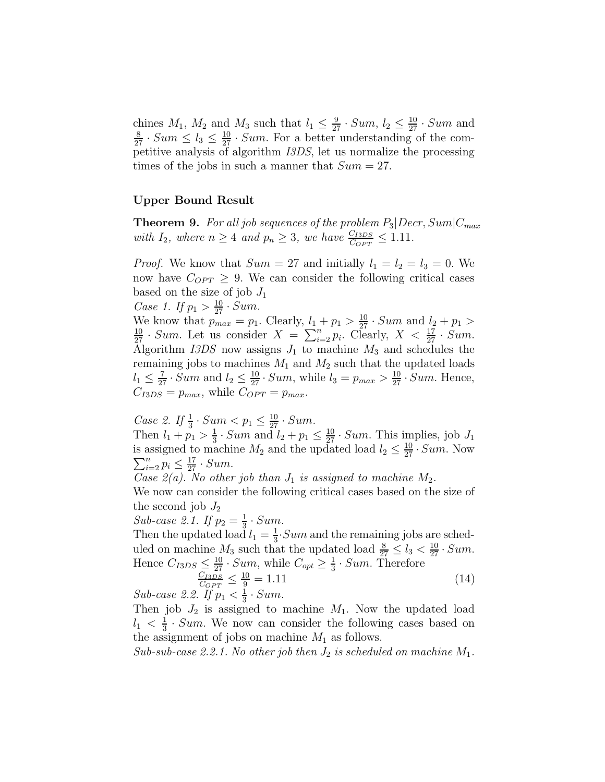chines  $M_1$ ,  $M_2$  and  $M_3$  such that  $l_1 \n\t\leq \frac{9}{27} \cdot Sum$ ,  $l_2 \n\t\leq \frac{10}{27} \cdot Sum$  and  $\frac{8}{27} \cdot Sum \leq l_3 \leq \frac{10}{27} \cdot Sum$ . For a better understanding of the competitive analysis of algorithm I3DS, let us normalize the processing times of the jobs in such a manner that  $Sum = 27$ .

#### Upper Bound Result

**Theorem 9.** For all job sequences of the problem  $P_3|Decr, Sum|C_{max}$ with  $I_2$ , where  $n \geq 4$  and  $p_n \geq 3$ , we have  $\frac{C_{ISDS}}{C_{OPT}} \leq 1.11$ .

*Proof.* We know that  $Sum = 27$  and initially  $l_1 = l_2 = l_3 = 0$ . We now have  $C_{OPT} \geq 9$ . We can consider the following critical cases based on the size of job  $J_1$ 

Case 1. If 
$$
p_1 > \frac{10}{27} \cdot Sum
$$
.

We know that  $p_{max} = p_1$ . Clearly,  $l_1 + p_1 > \frac{10}{27} \cdot Sum$  and  $l_2 + p_1 > \frac{10}{27} \cdot Sum$ . Let us consider  $X = \sum_{i=2}^{n} p_i$ . Clearly,  $X < \frac{17}{27} \cdot Sum$ . Algorithm  $I3DS$  now assigns  $J_1$  to machine  $M_3$  and schedules the remaining jobs to machines  $M_1$  and  $M_2$  such that the updated loads  $l_1 \leq \frac{7}{27} \cdot Sum$  and  $l_2 \leq \frac{10}{27} \cdot Sum$ , while  $l_3 = p_{max} > \frac{10}{27} \cdot Sum$ . Hence,  $C_{I3DS} = p_{max}$ , while  $C_{OPT} = p_{max}$ .

*Case 2.* If  $\frac{1}{3} \cdot Sum < p_1 \leq \frac{10}{27} \cdot Sum$ .

Then  $l_1 + p_1 > \frac{1}{3}$  $\frac{1}{3}$  · Sum and  $l_2 + p_1 \leq \frac{10}{27}$  · Sum. This implies, job  $J_1$ is assigned to machine  $M_2$  and the updated load  $l_2 \leq \frac{10}{27}$ is assigned to machine  $M_2$  and the updated load  $l_2 \leq \frac{10}{27} \cdot Sum$ . Now  $\sum_{i=2}^{n} p_i \leq \frac{17}{27} \cdot Sum$ .  $\sum_{i=2}^{n} p_i \leq \frac{17}{27} \cdot Sum.$ 

Case  $2(a)$ . No other job than  $J_1$  is assigned to machine  $M_2$ .

We now can consider the following critical cases based on the size of the second job  $J_2$ 

Sub-case 2.1. If  $p_2 = \frac{1}{3}$  $rac{1}{3}$  · Sum.

Then the updated load  $l_1 = \frac{1}{3}$  $\frac{1}{3}$ . Sum and the remaining jobs are scheduled on machine  $M_3$  such that the updated load  $\frac{8}{27} \le l_3 < \frac{10}{27} \cdot Sum$ . Hence  $C_{I3DS} \leq \frac{10}{27} \cdot Sum$ , while  $C_{opt} \geq \frac{1}{3}$  $\frac{1}{3}$  · Sum. Therefore

$$
\frac{C_{I3DS}}{C_{OPT}} \le \frac{10}{9} = 1.11
$$
\n(14)

Sub-case 2.2. If  $p_1 < \frac{1}{3}$  $rac{1}{3}$  · Sum.

Then job  $J_2$  is assigned to machine  $M_1$ . Now the updated load  $l_1 < \frac{1}{3}$  $\frac{1}{3}$  · Sum. We now can consider the following cases based on the assignment of jobs on machine  $M_1$  as follows.

Sub-sub-case 2.2.1. No other job then  $J_2$  is scheduled on machine  $M_1$ .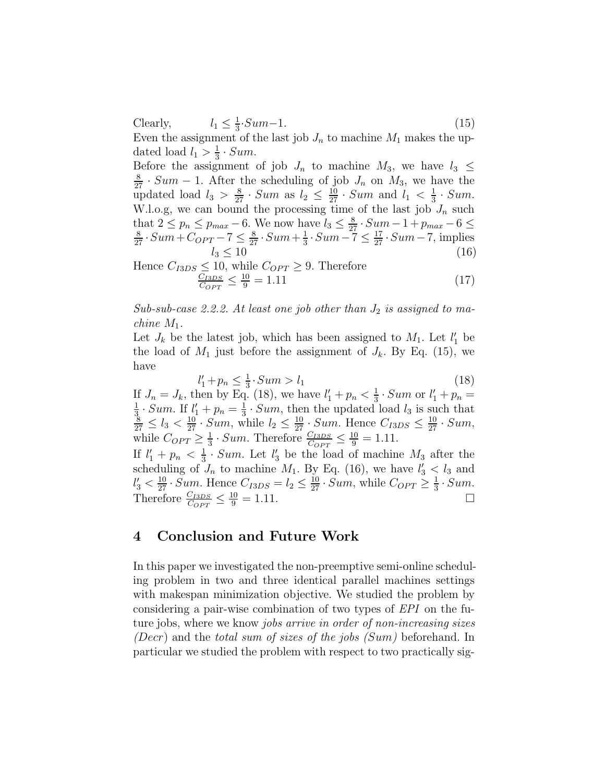Clearly, 1  $\frac{1}{3}$ ·Sum-1. (15) Even the assignment of the last job  $J_n$  to machine  $M_1$  makes the updated load  $l_1 > \frac{1}{3}$  $rac{1}{3}$  · Sum.

Before the assignment of job  $J_n$  to machine  $M_3$ , we have  $l_3 \leq$  $\frac{8}{27} \cdot Sum - 1$ . After the scheduling of job  $J_n$  on  $M_3$ , we have the updated load  $l_3 > \frac{8}{27} \cdot Sum$  as  $l_2 \leq \frac{10}{27} \cdot Sum$  and  $l_1 < \frac{1}{3}$  $rac{1}{3}$  · Sum. W.l.o.g, we can bound the processing time of the last job  $J_n$  such that 2 ≤  $p_n$  ≤  $p_{max}$  – 6. We now have  $l_3 \le \frac{8}{27} \cdot Sum - 1 + p_{max} - 6 \le \frac{8}{27} \cdot Sum + C_{OPT} - 7 \le \frac{8}{27} \cdot Sum + \frac{1}{3} \cdot Sum - 7 \le \frac{17}{27} \cdot Sum - 7$ , implies  $\frac{1}{3}$ .  $Sum-7 \leq \frac{17}{27}$ .  $Sum-7$ , implies  $l_3 \le 10$  (16)

Hence 
$$
C_{I3DS} \le 10
$$
, while  $C_{OPT} \ge 9$ . Therefore  

$$
\frac{C_{I3DS}}{C_{OPT}} \le \frac{10}{9} = 1.11
$$
 (17)

Sub-sub-case 2.2.2. At least one job other than  $J_2$  is assigned to machine  $M_1$ .

Let  $J_k$  be the latest job, which has been assigned to  $M_1$ . Let  $l'_1$  be the load of  $M_1$  just before the assignment of  $J_k$ . By Eq. (15), we have

$$
l'_1 + p_n \le \frac{1}{3} \cdot Sum > l_1 \tag{18}
$$

If  $J_n = J_k$ , then by Eq. (18), we have  $l'_1 + p_n < \frac{1}{3} \cdot Sum$  or  $l'_1 + p_n =$  $\frac{1}{2}$ . Sum If  $l' \pm n = \frac{1}{2}$ . Sum then the undeted  $\frac{1}{3} \cdot Sum$ . If  $l'_1 + p_n = \frac{1}{3}$  $\frac{1}{3} \cdot Sum$ . If  $l'_1 + p_n = \frac{1}{3} \cdot Sum$ , then the updated load  $l_3$  is such that  $\frac{8}{27} \le l_3 < \frac{10}{27} \cdot Sum$ , while  $l_2 \le \frac{10}{27} \cdot Sum$ . Hence  $C_{I3DS} \le \frac{10}{27} \cdot Sum$ , while  $C_{OPT} \geq \frac{1}{3}$  $\frac{1}{3} \cdot Sum$ . Therefore  $\frac{C_{IBDS}}{C_{OPT}} \leq \frac{10}{9} = 1.11$ .

If  $l'_1 + p_n < \frac{1}{3}$  $\frac{1}{3}$  · Sum. Let  $l'_3$  be the load of machine  $M_3$  after the scheduling of  $J_n$  to machine  $M_1$ . By Eq. (16), we have  $l'_3 < l_3$  and  $l'_3 < \frac{10}{27} \cdot Sum$ . Hence  $C_{ISDS} = l_2 \leq \frac{10}{27} \cdot Sum$ , while  $C_{OPT} \geq \frac{1}{3}$  $rac{1}{3}$ . Sum. Therefore  $\frac{C_{I3DS}}{C_{OPT}} \leq \frac{10}{9} = 1.11.$ 

# 4 Conclusion and Future Work

In this paper we investigated the non-preemptive semi-online scheduling problem in two and three identical parallel machines settings with makespan minimization objective. We studied the problem by considering a pair-wise combination of two types of EPI on the future jobs, where we know jobs arrive in order of non-increasing sizes (Decr) and the total sum of sizes of the jobs  $(Sum)$  beforehand. In particular we studied the problem with respect to two practically sig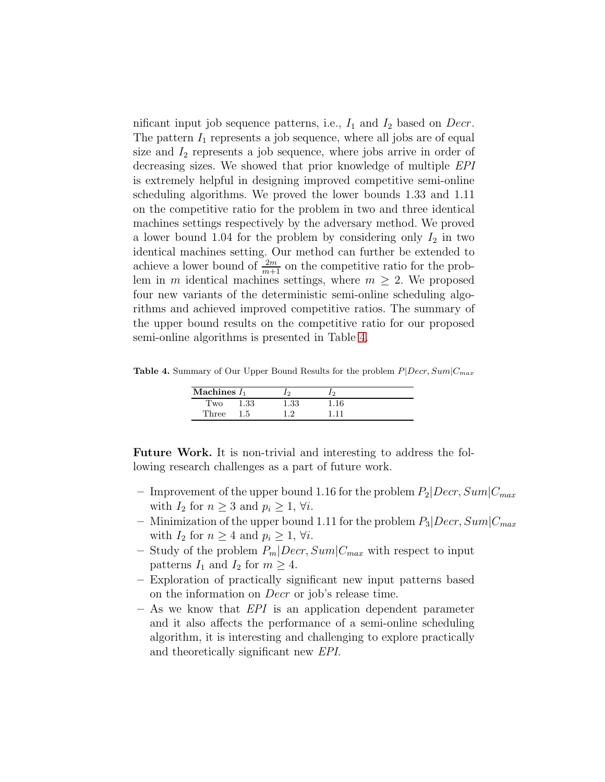nificant input job sequence patterns, i.e.,  $I_1$  and  $I_2$  based on Decr. The pattern  $I_1$  represents a job sequence, where all jobs are of equal size and  $I_2$  represents a job sequence, where jobs arrive in order of decreasing sizes. We showed that prior knowledge of multiple EPI is extremely helpful in designing improved competitive semi-online scheduling algorithms. We proved the lower bounds 1.33 and 1.11 on the competitive ratio for the problem in two and three identical machines settings respectively by the adversary method. We proved a lower bound 1.04 for the problem by considering only  $I_2$  in two identical machines setting. Our method can further be extended to achieve a lower bound of  $\frac{2m}{m+1}$  on the competitive ratio for the problem in m identical machines settings, where  $m \geq 2$ . We proposed four new variants of the deterministic semi-online scheduling algorithms and achieved improved competitive ratios. The summary of the upper bound results on the competitive ratio for our proposed semi-online algorithms is presented in Table [4.](#page-22-0)

Table 4. Summary of Our Upper Bound Results for the problem  $P|Decr, Sum|C_{max}$ 

<span id="page-22-0"></span>

| Machines $I_1$ |       |          |  |
|----------------|-------|----------|--|
| I WO           | 1.33  | $1.33\,$ |  |
| Three          | . . 5 | ി        |  |

Future Work. It is non-trivial and interesting to address the following research challenges as a part of future work.

- Improvement of the upper bound 1.16 for the problem  $P_2|Decr, Sum|C_{max}$ with  $I_2$  for  $n \geq 3$  and  $p_i \geq 1$ ,  $\forall i$ .
- Minimization of the upper bound 1.11 for the problem  $P_3|Decr, Sum|C_{max}$ with  $I_2$  for  $n \geq 4$  and  $p_i \geq 1$ ,  $\forall i$ .
- Study of the problem  $P_m|Decr, Sum|C_{max}$  with respect to input patterns  $I_1$  and  $I_2$  for  $m \geq 4$ .
- Exploration of practically significant new input patterns based on the information on Decr or job's release time.
- As we know that EPI is an application dependent parameter and it also affects the performance of a semi-online scheduling algorithm, it is interesting and challenging to explore practically and theoretically significant new EPI.